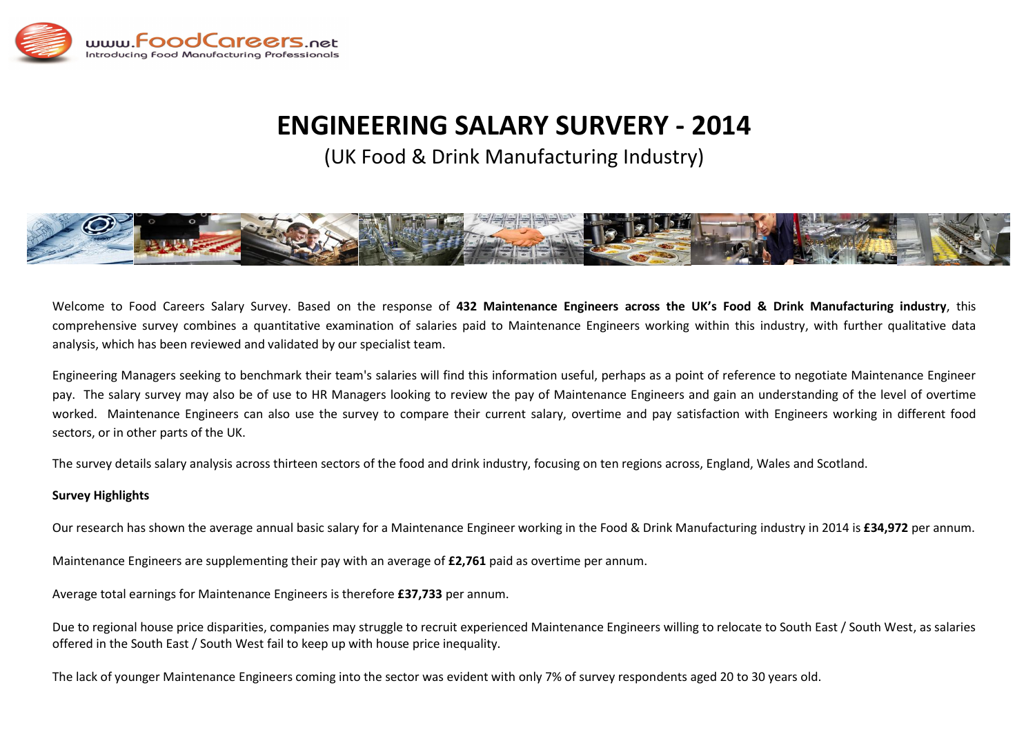

# **ENGINEERING SALARY SURVERY - 2014**

(UK Food & Drink Manufacturing Industry)



Welcome to Food Careers Salary Survey. Based on the response of **432 Maintenance Engineers across the UK's Food & Drink Manufacturing industry**, this comprehensive survey combines a quantitative examination of salaries paid to Maintenance Engineers working within this industry, with further qualitative data analysis, which has been reviewed and validated by our specialist team.

Engineering Managers seeking to benchmark their team's salaries will find this information useful, perhaps as a point of reference to negotiate Maintenance Engineer pay. The salary survey may also be of use to HR Managers looking to review the pay of Maintenance Engineers and gain an understanding of the level of overtime worked. Maintenance Engineers can also use the survey to compare their current salary, overtime and pay satisfaction with Engineers working in different food sectors, or in other parts of the UK.

The survey details salary analysis across thirteen sectors of the food and drink industry, focusing on ten regions across, England, Wales and Scotland.

#### **Survey Highlights**

Our research has shown the average annual basic salary for a Maintenance Engineer working in the Food & Drink Manufacturing industry in 2014 is **£34,972** per annum.

Maintenance Engineers are supplementing their pay with an average of **£2,761** paid as overtime per annum.

Average total earnings for Maintenance Engineers is therefore **£37,733** per annum.

Due to regional house price disparities, companies may struggle to recruit experienced Maintenance Engineers willing to relocate to South East / South West, as salaries offered in the South East / South West fail to keep up with house price inequality.

The lack of younger Maintenance Engineers coming into the sector was evident with only 7% of survey respondents aged 20 to 30 years old.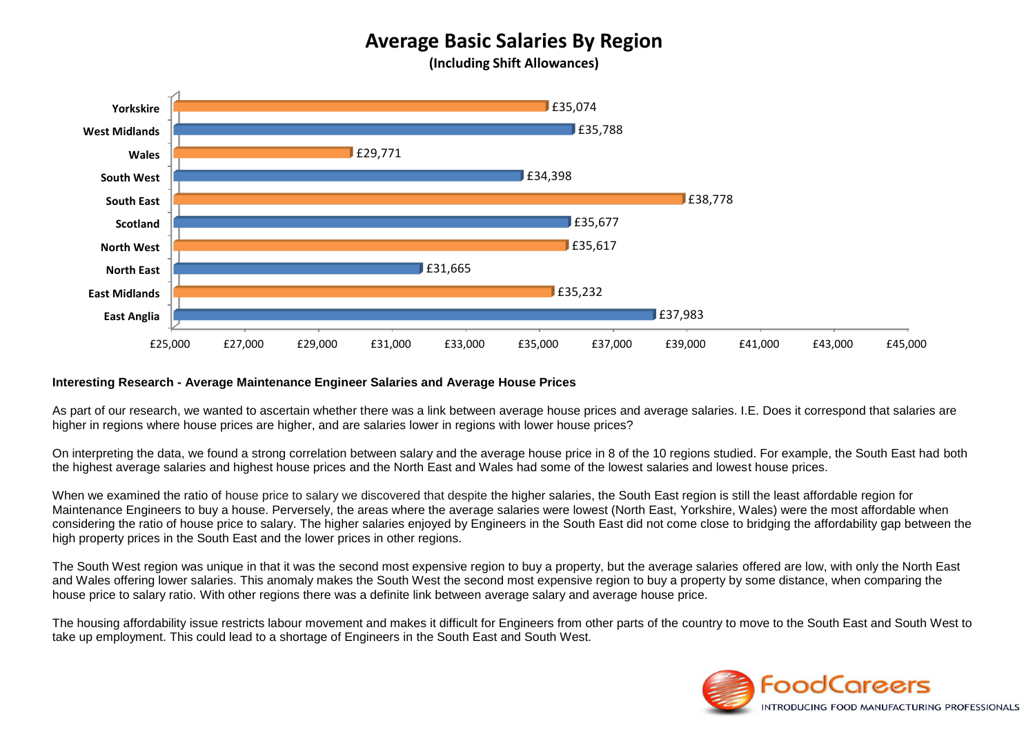# **Average Basic Salaries By Region**

**(Including Shift Allowances)**



#### **Interesting Research - Average Maintenance Engineer Salaries and Average House Prices**

As part of our research, we wanted to ascertain whether there was a link between average house prices and average salaries. I.E. Does it correspond that salaries are higher in regions where house prices are higher, and are salaries lower in regions with lower house prices?

On interpreting the data, we found a strong correlation between salary and the average house price in 8 of the 10 regions studied. For example, the South East had both the highest average salaries and highest house prices and the North East and Wales had some of the lowest salaries and lowest house prices.

When we examined the ratio of house price to salary we discovered that despite the higher salaries, the South East region is still the least affordable region for Maintenance Engineers to buy a house. Perversely, the areas where the average salaries were lowest (North East, Yorkshire, Wales) were the most affordable when considering the ratio of house price to salary. The higher salaries enjoyed by Engineers in the South East did not come close to bridging the affordability gap between the high property prices in the South East and the lower prices in other regions.

The South West region was unique in that it was the second most expensive region to buy a property, but the average salaries offered are low, with only the North East and Wales offering lower salaries. This anomaly makes the South West the second most expensive region to buy a property by some distance, when comparing the house price to salary ratio. With other regions there was a definite link between average salary and average house price.

The housing affordability issue restricts labour movement and makes it difficult for Engineers from other parts of the country to move to the South East and South West to take up employment. This could lead to a shortage of Engineers in the South East and South West.

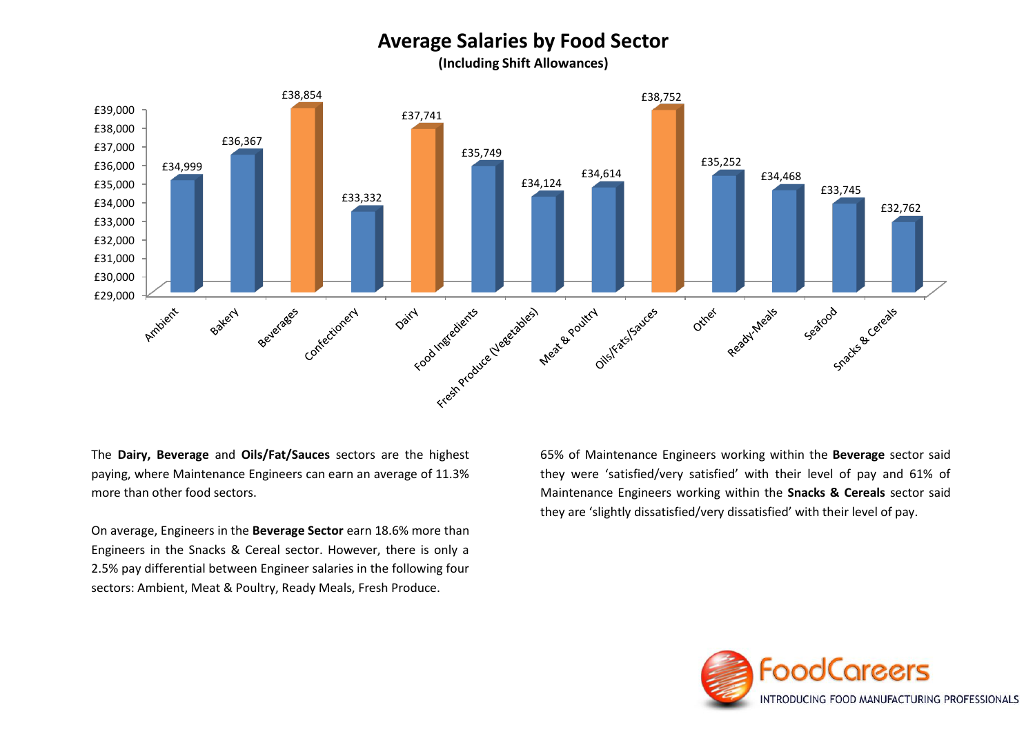## **Average Salaries by Food Sector**

**(Including Shift Allowances)**



The **Dairy, Beverage** and **Oils/Fat/Sauces** sectors are the highest paying, where Maintenance Engineers can earn an average of 11.3% more than other food sectors.

On average, Engineers in the **Beverage Sector** earn 18.6% more than Engineers in the Snacks & Cereal sector. However, there is only a 2.5% pay differential between Engineer salaries in the following four sectors: Ambient, Meat & Poultry, Ready Meals, Fresh Produce.

65% of Maintenance Engineers working within the **Beverage** sector said they were 'satisfied/very satisfied' with their level of pay and 61% of Maintenance Engineers working within the **Snacks & Cereals** sector said they are 'slightly dissatisfied/very dissatisfied' with their level of pay.

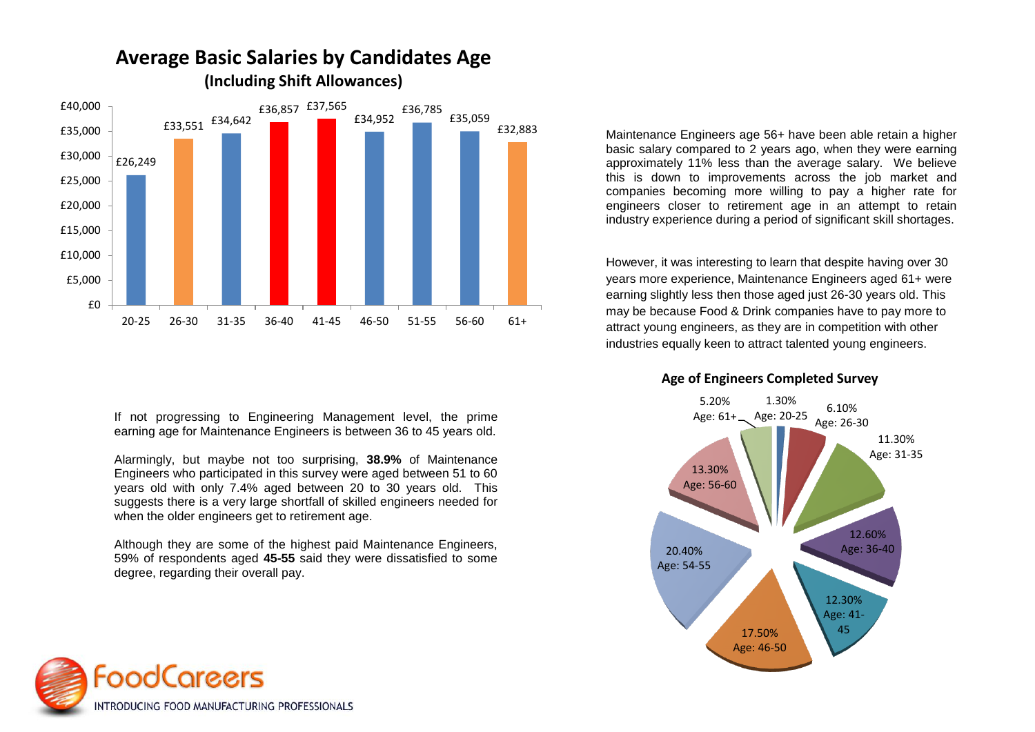

If not progressing to Engineering Management level, the prime earning age for Maintenance Engineers is between 36 to 45 years old.

Alarmingly, but maybe not too surprising, **38.9%** of Maintenance Engineers who participated in this survey were aged between 51 to 60 years old with only 7.4% aged between 20 to 30 years old. This suggests there is a very large shortfall of skilled engineers needed for when the older engineers get to retirement age.

Although they are some of the highest paid Maintenance Engineers, 59% of respondents aged **45-55** said they were dissatisfied to some degree, regarding their overall pay.



However, it was interesting to learn that despite having over 30 years more experience, Maintenance Engineers aged 61+ were earning slightly less then those aged just 26-30 years old. This may be because Food & Drink companies have to pay more to attract young engineers, as they are in competition with other industries equally keen to attract talented young engineers.

**Age of Engineers Completed Survey**



# **Average Basic Salaries by Candidates Age**

**(Including Shift Allowances)**

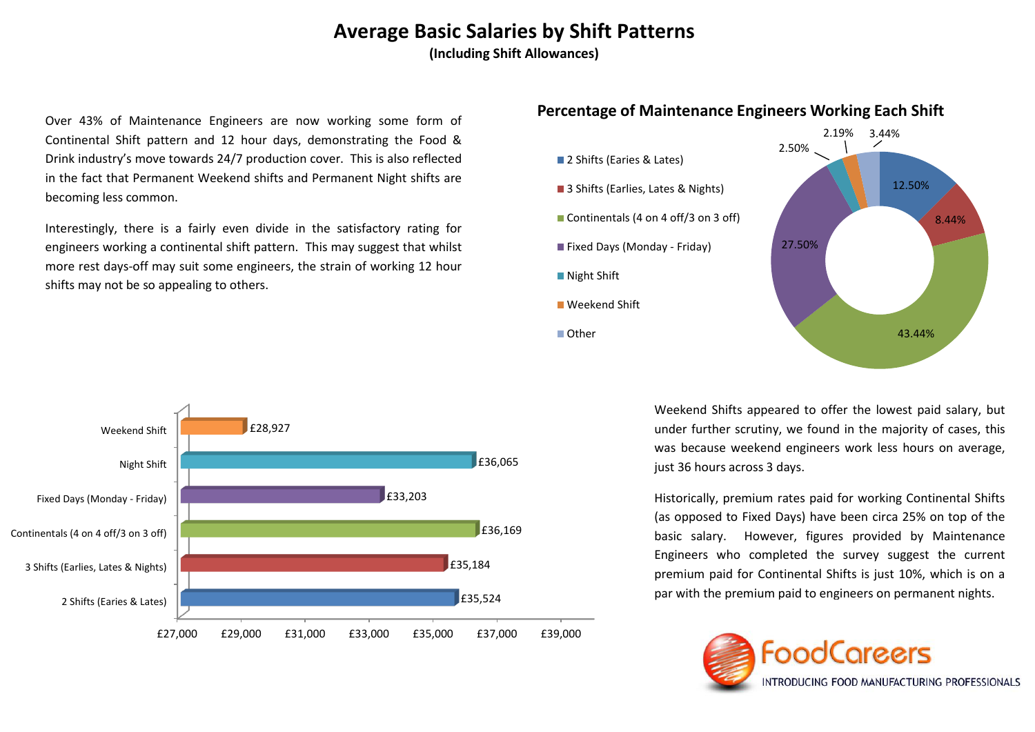# **Average Basic Salaries by Shift Patterns**

**(Including Shift Allowances)**

Over 43% of Maintenance Engineers are now working some form of Continental Shift pattern and 12 hour days, demonstrating the Food & Drink industry's move towards 24/7 production cover. This is also reflected in the fact that Permanent Weekend shifts and Permanent Night shifts are becoming less common.

Interestingly, there is a fairly even divide in the satisfactory rating for engineers working a continental shift pattern. This may suggest that whilst more rest days-off may suit some engineers, the strain of working 12 hour shifts may not be so appealing to others.



## **Percentage of Maintenance Engineers Working Each Shift**

Weekend Shifts appeared to offer the lowest paid salary, but under further scrutiny, we found in the majority of cases, this was because weekend engineers work less hours on average, just 36 hours across 3 days.

Historically, premium rates paid for working Continental Shifts (as opposed to Fixed Days) have been circa 25% on top of the basic salary. However, figures provided by Maintenance Engineers who completed the survey suggest the current premium paid for Continental Shifts is just 10%, which is on a par with the premium paid to engineers on permanent nights.



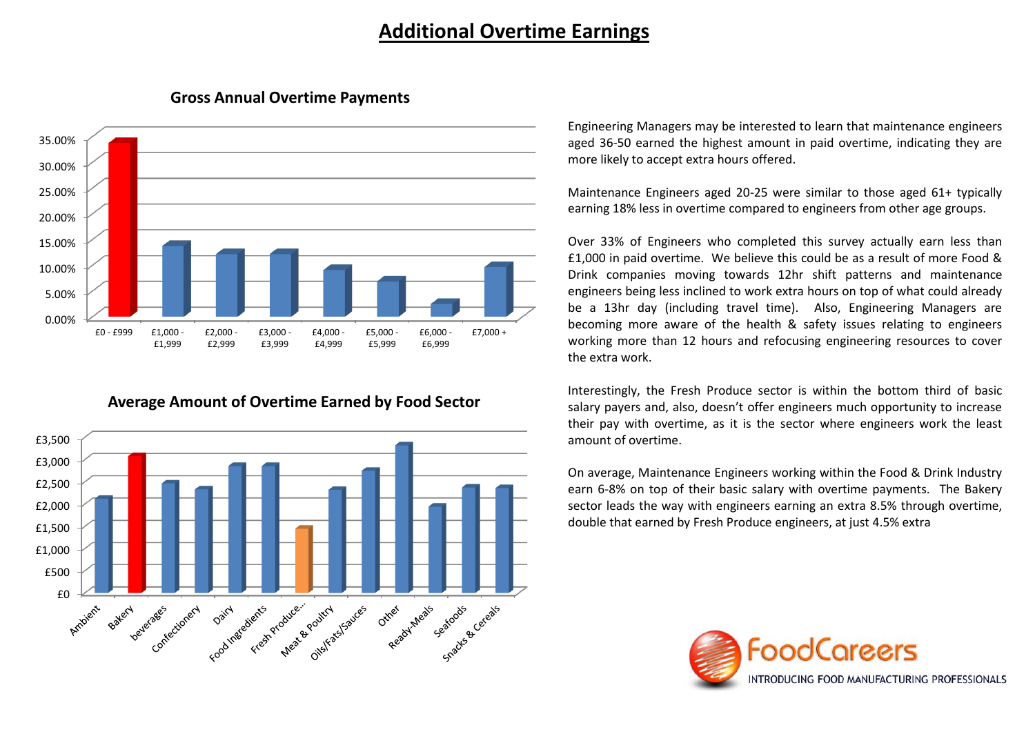# **Additional Overtime Earnings**



#### **Gross Annual Overtime Payments**

### **Average Amount of Overtime Earned by Food Sector**



Engineering Managers may be interested to learn that maintenance engineers aged 36-50 earned the highest amount in paid overtime, indicating they are more likely to accept extra hours offered.

Maintenance Engineers aged 20-25 were similar to those aged 61+ typically earning 18% less in overtime compared to engineers from other age groups.

Over 33% of Engineers who completed this survey actually earn less than £1,000 in paid overtime. We believe this could be as a result of more Food & Drink companies moving towards 12hr shift patterns and maintenance engineers being less inclined to work extra hours on top of what could already be a 13hr day (including travel time). Also, Engineering Managers are becoming more aware of the health & safety issues relating to engineers working more than 12 hours and refocusing engineering resources to cover the extra work.

Interestingly, the Fresh Produce sector is within the bottom third of basic salary payers and, also, doesn't offer engineers much opportunity to increase their pay with overtime, as it is the sector where engineers work the least amount of overtime.

On average, Maintenance Engineers working within the Food & Drink Industry earn 6-8% on top of their basic salary with overtime payments. The Bakery sector leads the way with engineers earning an extra 8.5% through overtime, double that earned by Fresh Produce engineers, at just 4.5% extra

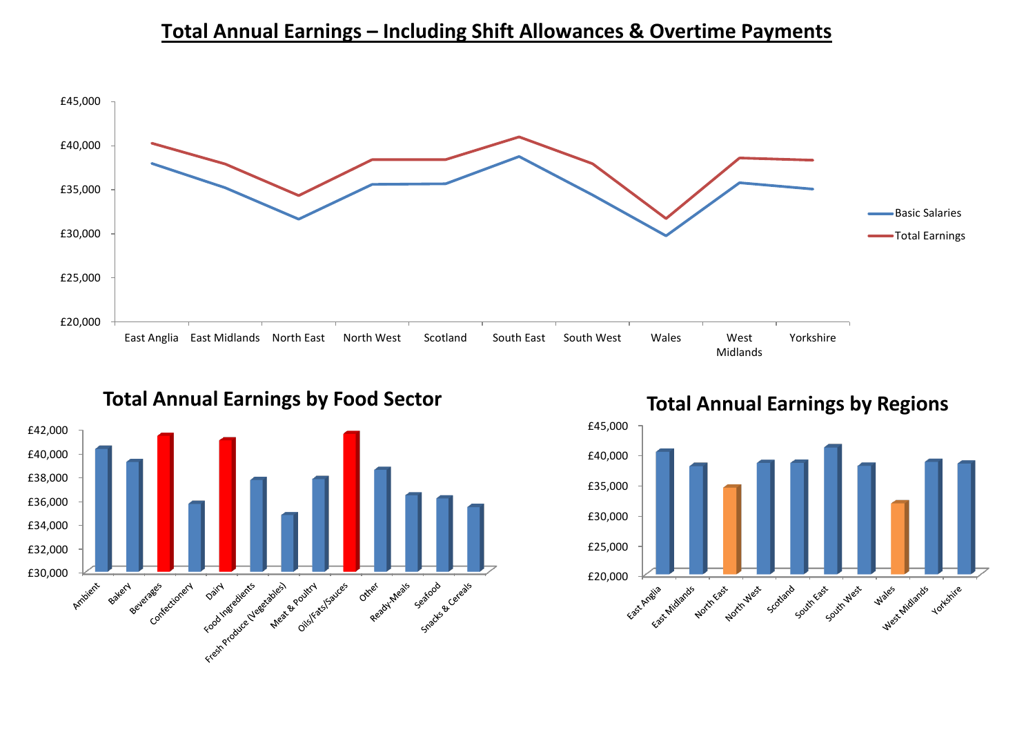# **Total Annual Earnings – Including Shift Allowances & Overtime Payments**





**Total Annual Earnings by Food Sector**



**Total Annual Earnings by Regions**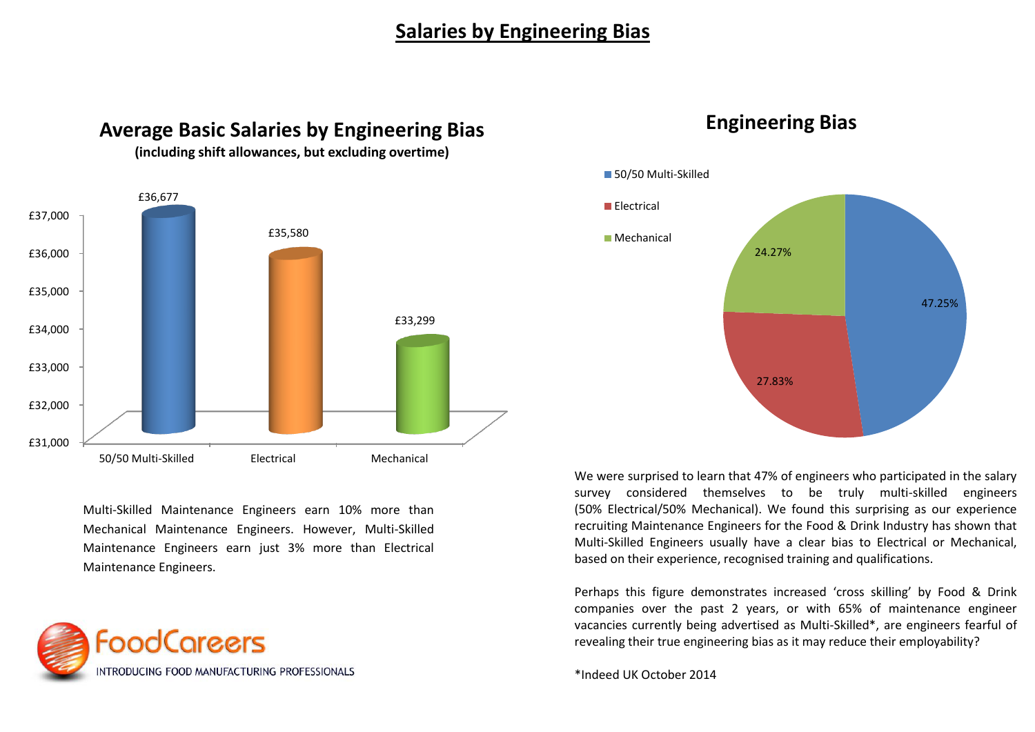# **Salaries by Engineering Bias**



**Average Basic Salaries by Engineering Bias** 

**(including shift allowances, but excluding overtime)**

Multi-Skilled Maintenance Engineers earn 10% more than Mechanical Maintenance Engineers. However, Multi-Skilled Maintenance Engineers earn just 3% more than Electrical Maintenance Engineers.





# **Engineering Bias**

We were surprised to learn that 47% of engineers who participated in the salary survey considered themselves to be truly multi-skilled engineers (50% Electrical/50% Mechanical). We found this surprising as our experience recruiting Maintenance Engineers for the Food & Drink Industry has shown that Multi-Skilled Engineers usually have a clear bias to Electrical or Mechanical, based on their experience, recognised training and qualifications.

Perhaps this figure demonstrates increased 'cross skilling' by Food & Drink companies over the past 2 years, or with 65% of maintenance engineer vacancies currently being advertised as Multi-Skilled\*, are engineers fearful of revealing their true engineering bias as it may reduce their employability?

\*Indeed UK October 2014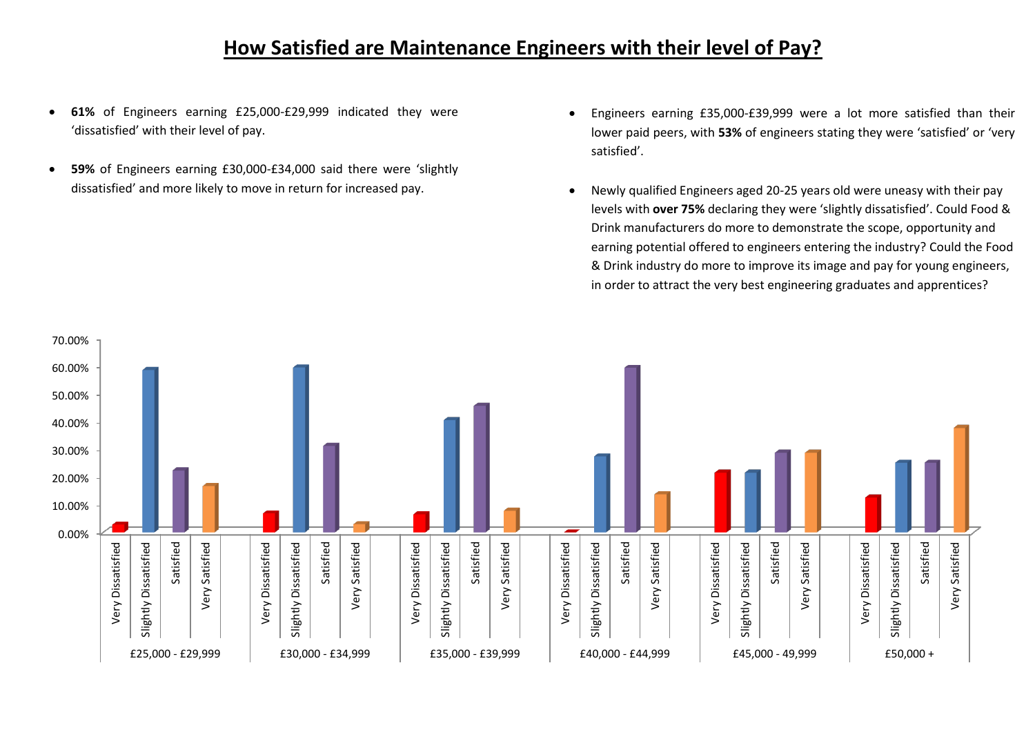# **How Satisfied are Maintenance Engineers with their level of Pay?**

- **61%** of Engineers earning £25,000-£29,999 indicated they were 'dissatisfied' with their level of pay.
- **59%** of Engineers earning £30,000-£34,000 said there were 'slightly dissatisfied' and more likely to move in return for increased pay.
- Engineers earning £35,000-£39,999 were a lot more satisfied than their lower paid peers, with **53%** of engineers stating they were 'satisfied' or 'very satisfied'.
- Newly qualified Engineers aged 20-25 years old were uneasy with their pay levels with **over 75%** declaring they were 'slightly dissatisfied'. Could Food & Drink manufacturers do more to demonstrate the scope, opportunity and earning potential offered to engineers entering the industry? Could the Food & Drink industry do more to improve its image and pay for young engineers, in order to attract the very best engineering graduates and apprentices?